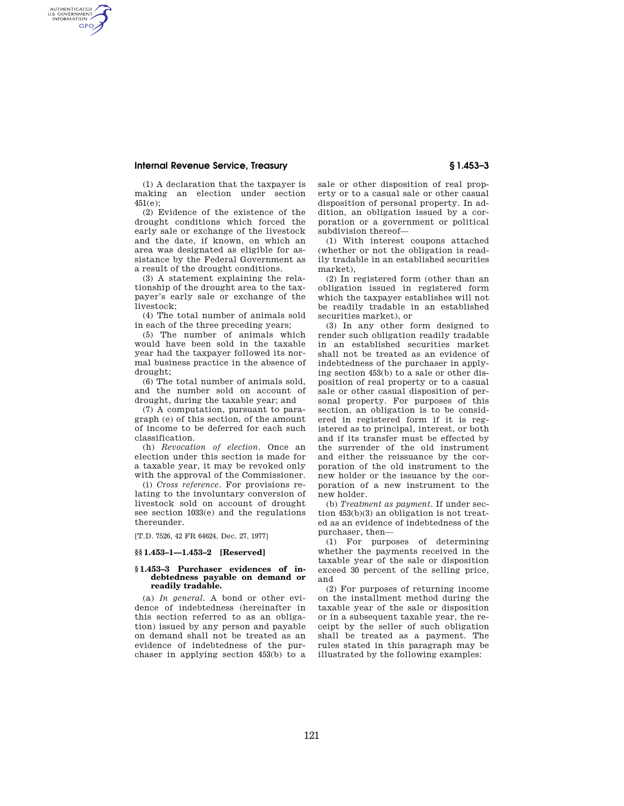# **Internal Revenue Service, Treasury § 1.453–3**

AUTHENTICATED<br>U.S. GOVERNMENT<br>INFORMATION **GPO** 

(1) A declaration that the taxpayer is making an election under section 451(e);

(2) Evidence of the existence of the drought conditions which forced the early sale or exchange of the livestock and the date, if known, on which an area was designated as eligible for assistance by the Federal Government as a result of the drought conditions.

(3) A statement explaining the relationship of the drought area to the taxpayer's early sale or exchange of the livestock;

(4) The total number of animals sold in each of the three preceding years;

(5) The number of animals which would have been sold in the taxable year had the taxpayer followed its normal business practice in the absence of drought;

(6) The total number of animals sold, and the number sold on account of drought, during the taxable year; and

(7) A computation, pursuant to paragraph (e) of this section, of the amount of income to be deferred for each such classification.

(h) *Revocation of election.* Once an election under this section is made for a taxable year, it may be revoked only with the approval of the Commissioner.

(i) *Cross reference.* For provisions relating to the involuntary conversion of livestock sold on account of drought see section 1033(e) and the regulations thereunder.

[T.D. 7526, 42 FR 64624, Dec. 27, 1977]

#### **§§ 1.453–1—1.453–2 [Reserved]**

#### **§ 1.453–3 Purchaser evidences of indebtedness payable on demand or readily tradable.**

(a) *In general.* A bond or other evidence of indebtedness (hereinafter in this section referred to as an obligation) issued by any person and payable on demand shall not be treated as an evidence of indebtedness of the purchaser in applying section 453(b) to a sale or other disposition of real property or to a casual sale or other casual disposition of personal property. In addition, an obligation issued by a corporation or a government or political subdivision thereof—

(1) With interest coupons attached (whether or not the obligation is readily tradable in an established securities market),

(2) In registered form (other than an obligation issued in registered form which the taxpayer establishes will not be readily tradable in an established securities market), or

(3) In any other form designed to render such obligation readily tradable in an established securities market shall not be treated as an evidence of indebtedness of the purchaser in applying section 453(b) to a sale or other disposition of real property or to a casual sale or other casual disposition of personal property. For purposes of this section, an obligation is to be considered in registered form if it is registered as to principal, interest, or both and if its transfer must be effected by the surrender of the old instrument and either the reissuance by the corporation of the old instrument to the new holder or the issuance by the corporation of a new instrument to the new holder.

(b) *Treatment as payment.* If under section 453(b)(3) an obligation is not treated as an evidence of indebtedness of the purchaser, then—

(1) For purposes of determining whether the payments received in the taxable year of the sale or disposition exceed 30 percent of the selling price, and

(2) For purposes of returning income on the installment method during the taxable year of the sale or disposition or in a subsequent taxable year, the receipt by the seller of such obligation shall be treated as a payment. The rules stated in this paragraph may be illustrated by the following examples: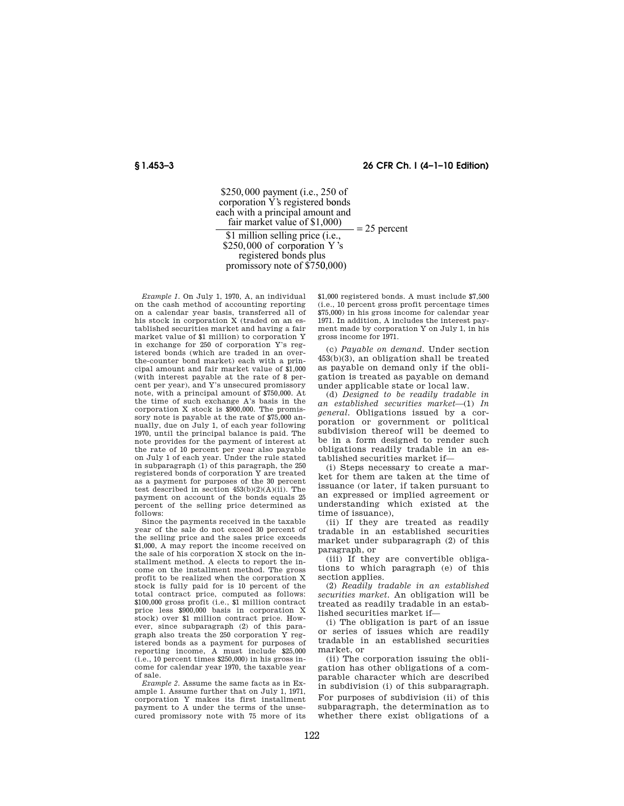## **§ 1.453–3 26 CFR Ch. I (4–1–10 Edition)**

 $$250,000$  payment (i.e., 250 of corporation Y's registered bonds each with a principal amount and fair market value of \$1,000) \$1 million selling price (i.e.,  $= 25$  percent

\$250,000 of corporation Y's<br>registered bonds plus promissory note of \$75 0,000)

*Example 1.* On July 1, 1970, A, an individual on the cash method of accounting reporting on a calendar year basis, transferred all of his stock in corporation X (traded on an established securities market and having a fair market value of \$1 million) to corporation Y in exchange for 250 of corporation Y's registered bonds (which are traded in an overthe-counter bond market) each with a principal amount and fair market value of \$1,000 (with interest payable at the rate of 8 percent per year), and Y's unsecured promissory note, with a principal amount of \$750,000. At the time of such exchange A's basis in the corporation X stock is \$900,000. The promissory note is payable at the rate of \$75,000 annually, due on July 1, of each year following 1970, until the principal balance is paid. The note provides for the payment of interest at the rate of 10 percent per year also payable on July 1 of each year. Under the rule stated in subparagraph (1) of this paragraph, the 250 registered bonds of corporation Y are treated as a payment for purposes of the 30 percent test described in section 453(b)(2)(A)(ii). The payment on account of the bonds equals 25 percent of the selling price determined as follows:

Since the payments received in the taxable year of the sale do not exceed 30 percent of the selling price and the sales price exceeds \$1,000, A may report the income received on the sale of his corporation X stock on the installment method. A elects to report the income on the installment method. The gross profit to be realized when the corporation X stock is fully paid for is 10 percent of the total contract price, computed as follows: \$100,000 gross profit (i.e., \$1 million contract price less \$900,000 basis in corporation X stock) over \$1 million contract price. However, since subparagraph (2) of this paragraph also treats the 250 corporation Y registered bonds as a payment for purposes of reporting income, A must include \$25,000 (i.e., 10 percent times \$250,000) in his gross income for calendar year 1970, the taxable year of sale.

*Example 2.* Assume the same facts as in Example 1. Assume further that on July 1, 1971, corporation Y makes its first installment payment to A under the terms of the unsecured promissory note with 75 more of its \$1,000 registered bonds. A must include \$7,500 (i.e., 10 percent gross profit percentage times \$75,000) in his gross income for calendar year 1971. In addition, A includes the interest payment made by corporation Y on July 1, in his gross income for 1971.

(c) *Payable on demand.* Under section 453(b)(3), an obligation shall be treated as payable on demand only if the obligation is treated as payable on demand under applicable state or local law.

(d) *Designed to be readily tradable in an established securities market*—(1) *In general.* Obligations issued by a corporation or government or political subdivision thereof will be deemed to be in a form designed to render such obligations readily tradable in an established securities market if—

(i) Steps necessary to create a market for them are taken at the time of issuance (or later, if taken pursuant to an expressed or implied agreement or understanding which existed at the time of issuance),

(ii) If they are treated as readily tradable in an established securities market under subparagraph (2) of this paragraph, or

(iii) If they are convertible obligations to which paragraph (e) of this section applies.

(2) *Readily tradable in an established securities market.* An obligation will be treated as readily tradable in an established securities market if—

(i) The obligation is part of an issue or series of issues which are readily tradable in an established securities market, or

(ii) The corporation issuing the obligation has other obligations of a comparable character which are described in subdivision (i) of this subparagraph. For purposes of subdivision (ii) of this subparagraph, the determination as to whether there exist obligations of a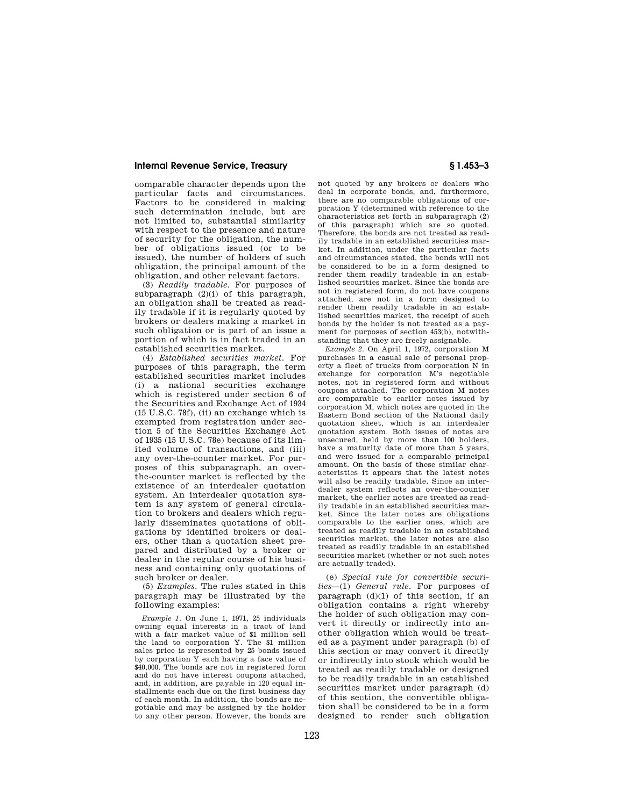## **Internal Revenue Service, Treasury § 1.453–3**

comparable character depends upon the particular facts and circumstances. Factors to be considered in making such determination include, but are not limited to, substantial similarity with respect to the presence and nature of security for the obligation, the number of obligations issued (or to be issued), the number of holders of such obligation, the principal amount of the obligation, and other relevant factors.

(3) *Readily tradable.* For purposes of subparagraph  $(2)(i)$  of this paragraph, an obligation shall be treated as readily tradable if it is regularly quoted by brokers or dealers making a market in such obligation or is part of an issue a portion of which is in fact traded in an established securities market.

(4) *Established securities market.* For purposes of this paragraph, the term established securities market includes (i) a national securities exchange which is registered under section 6 of the Securities and Exchange Act of 1934 (15 U.S.C. 78f), (ii) an exchange which is exempted from registration under section 5 of the Securities Exchange Act of 1935 (15 U.S.C. 78e) because of its limited volume of transactions, and (iii) any over-the-counter market. For purposes of this subparagraph, an overthe-counter market is reflected by the existence of an interdealer quotation system. An interdealer quotation system is any system of general circulation to brokers and dealers which regularly disseminates quotations of obligations by identified brokers or dealers, other than a quotation sheet prepared and distributed by a broker or dealer in the regular course of his business and containing only quotations of such broker or dealer.

(5) *Examples.* The rules stated in this paragraph may be illustrated by the following examples:

*Example 1.* On June 1, 1971, 25 individuals owning equal interests in a tract of land with a fair market value of \$1 million sell the land to corporation Y. The \$1 million sales price is represented by 25 bonds issued by corporation Y each having a face value of \$40,000. The bonds are not in registered form and do not have interest coupons attached, and, in addition, are payable in 120 equal installments each due on the first business day of each month. In addition, the bonds are negotiable and may be assigned by the holder to any other person. However, the bonds are not quoted by any brokers or dealers who deal in corporate bonds, and, furthermore, there are no comparable obligations of corporation Y (determined with reference to the characteristics set forth in subparagraph (2) of this paragraph) which are so quoted. Therefore, the bonds are not treated as readily tradable in an established securities market. In addition, under the particular facts and circumstances stated, the bonds will not be considered to be in a form designed to render them readily tradeable in an established securities market. Since the bonds are not in registered form, do not have coupons attached, are not in a form designed to render them readily tradable in an established securities market, the receipt of such bonds by the holder is not treated as a payment for purposes of section 453(b), notwithstanding that they are freely assignable.

*Example 2.* On April 1, 1972, corporation M purchases in a casual sale of personal property a fleet of trucks from corporation N in exchange for corporation M's negotiable notes, not in registered form and without coupons attached. The corporation M notes are comparable to earlier notes issued by corporation M, which notes are quoted in the Eastern Bond section of the National daily quotation sheet, which is an interdealer quotation system. Both issues of notes are unsecured, held by more than 100 holders, have a maturity date of more than 5 years, and were issued for a comparable principal amount. On the basis of these similar characteristics it appears that the latest notes will also be readily tradable. Since an interdealer system reflects an over-the-counter market, the earlier notes are treated as readily tradable in an established securities market. Since the later notes are obligations comparable to the earlier ones, which are treated as readily tradable in an established securities market, the later notes are also treated as readily tradable in an established securities market (whether or not such notes are actually traded).

(e) *Special rule for convertible securities*—(1) *General rule.* For purposes of paragraph  $(d)(1)$  of this section, if an obligation contains a right whereby the holder of such obligation may convert it directly or indirectly into another obligation which would be treated as a payment under paragraph (b) of this section or may convert it directly or indirectly into stock which would be treated as readily tradable or designed to be readily tradable in an established securities market under paragraph (d) of this section, the convertible obligation shall be considered to be in a form designed to render such obligation